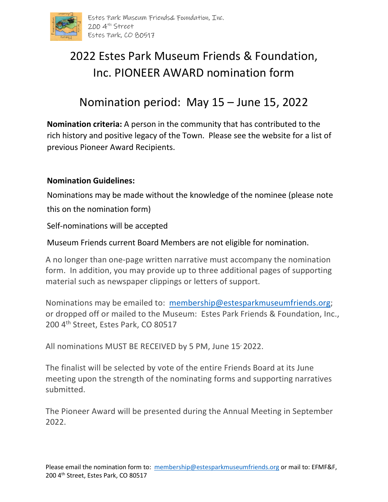

## 2022 Estes Park Museum Friends & Foundation, Inc. PIONEER AWARD nomination form

## Nomination period: May 15 – June 15, 2022

**Nomination criteria:** A person in the community that has contributed to the rich history and positive legacy of the Town. Please see the website for a list of previous Pioneer Award Recipients.

## **Nomination Guidelines:**

Nominations may be made without the knowledge of the nominee (please note this on the nomination form)

Self-nominations will be accepted

Museum Friends current Board Members are not eligible for nomination.

A no longer than one-page written narrative must accompany the nomination form. In addition, you may provide up to three additional pages of supporting material such as newspaper clippings or letters of support.

Nominations may be emailed to: [membership@estesparkmuseumfriends.org;](mailto:membership@estesparkmuseumfriends.org) or dropped off or mailed to the Museum: Estes Park Friends & Foundation, Inc., 200 4<sup>th</sup> Street, Estes Park, CO 80517

All nominations MUST BE RECEIVED by 5 PM, June 15<sup>,</sup> 2022.

The finalist will be selected by vote of the entire Friends Board at its June meeting upon the strength of the nominating forms and supporting narratives submitted.

The Pioneer Award will be presented during the Annual Meeting in September 2022.